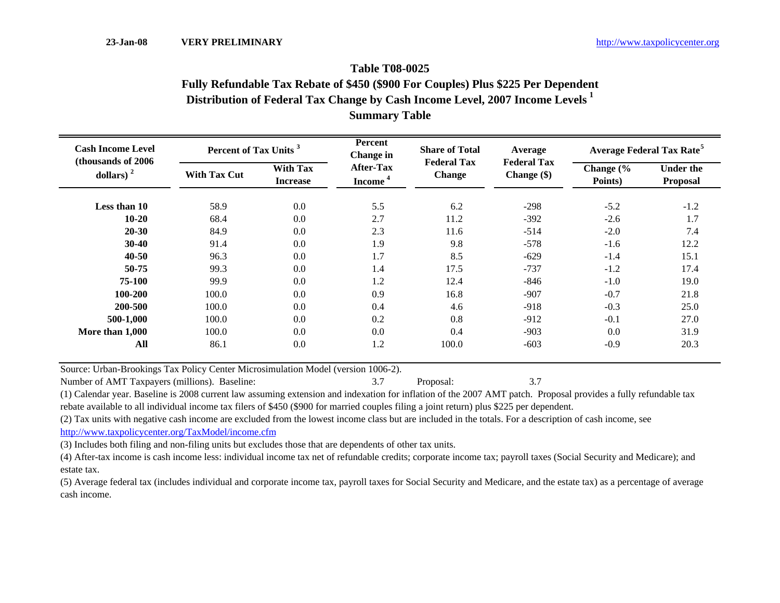## **Distribution of Federal Tax Change by Cash Income Level, 2007 Income Levels <sup>1</sup> Summary Table Fully Refundable Tax Rebate of \$450 (\$900 For Couples) Plus \$225 Per Dependent Table T08-0025**

| <b>Cash Income Level</b><br>(thousands of 2006) | Percent of Tax Units <sup>3</sup> |                                    | Percent<br>Change in                    | <b>Share of Total</b>               | Average                           | <b>Average Federal Tax Rate<sup>5</sup></b> |                              |  |
|-------------------------------------------------|-----------------------------------|------------------------------------|-----------------------------------------|-------------------------------------|-----------------------------------|---------------------------------------------|------------------------------|--|
| dollars) <sup><math>2</math></sup>              | <b>With Tax Cut</b>               | <b>With Tax</b><br><b>Increase</b> | <b>After-Tax</b><br>Income <sup>4</sup> | <b>Federal Tax</b><br><b>Change</b> | <b>Federal Tax</b><br>Change (\$) | Change $\frac{6}{6}$<br>Points)             | <b>Under the</b><br>Proposal |  |
| Less than 10                                    | 58.9                              | 0.0                                | 5.5                                     | 6.2                                 | $-298$                            | $-5.2$                                      | $-1.2$                       |  |
| $10 - 20$                                       | 68.4                              | 0.0                                | 2.7                                     | 11.2                                | $-392$                            | $-2.6$                                      | 1.7                          |  |
| $20 - 30$                                       | 84.9                              | 0.0                                | 2.3                                     | 11.6                                | $-514$                            | $-2.0$                                      | 7.4                          |  |
| $30 - 40$                                       | 91.4                              | 0.0                                | 1.9                                     | 9.8                                 | $-578$                            | $-1.6$                                      | 12.2                         |  |
| $40 - 50$                                       | 96.3                              | 0.0                                | 1.7                                     | 8.5                                 | $-629$                            | $-1.4$                                      | 15.1                         |  |
| 50-75                                           | 99.3                              | 0.0                                | 1.4                                     | 17.5                                | $-737$                            | $-1.2$                                      | 17.4                         |  |
| 75-100                                          | 99.9                              | 0.0                                | 1.2                                     | 12.4                                | $-846$                            | $-1.0$                                      | 19.0                         |  |
| 100-200                                         | 100.0                             | 0.0                                | 0.9                                     | 16.8                                | $-907$                            | $-0.7$                                      | 21.8                         |  |
| 200-500                                         | 100.0                             | 0.0                                | 0.4                                     | 4.6                                 | $-918$                            | $-0.3$                                      | 25.0                         |  |
| 500-1,000                                       | 100.0                             | 0.0                                | 0.2                                     | 0.8                                 | $-912$                            | $-0.1$                                      | 27.0                         |  |
| More than 1,000                                 | 100.0                             | 0.0                                | 0.0                                     | 0.4                                 | $-903$                            | 0.0                                         | 31.9                         |  |
| All                                             | 86.1                              | 0.0                                | 1.2                                     | 100.0                               | $-603$                            | $-0.9$                                      | 20.3                         |  |

Source: Urban-Brookings Tax Policy Center Microsimulation Model (version 1006-2).

Number of AMT Taxpayers (millions). Baseline: 3.7 Proposal: 3.7 Proposal: 3.7 Proposal: 3.7

(1) Calendar year. Baseline is 2008 current law assuming extension and indexation for inflation of the 2007 AMT patch. Proposal provides a fully refundable tax rebate available to all individual income tax filers of \$450 (\$900 for married couples filing a joint return) plus \$225 per dependent.

(2) Tax units with negative cash income are excluded from the lowest income class but are included in the totals. For a description of cash income, see

http://www.taxpolicycenter.org/TaxModel/income.cfm

(3) Includes both filing and non-filing units but excludes those that are dependents of other tax units.

(4) After-tax income is cash income less: individual income tax net of refundable credits; corporate income tax; payroll taxes (Social Security and Medicare); and estate tax.

(5) Average federal tax (includes individual and corporate income tax, payroll taxes for Social Security and Medicare, and the estate tax) as a percentage of average cash income.